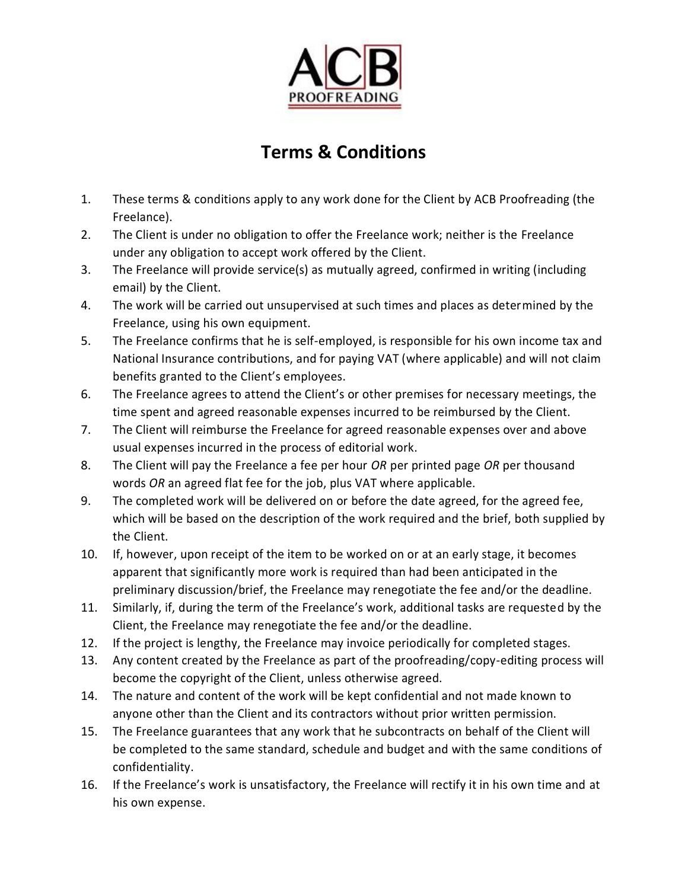

## **Terms & Conditions**

- 1. These terms & conditions apply to any work done for the Client by ACB Proofreading (the Freelance).
- 2. The Client is under no obligation to offer the Freelance work; neither is the Freelance under any obligation to accept work offered by the Client.
- 3. The Freelance will provide service(s) as mutually agreed, confirmed in writing (including email) by the Client.
- 4. The work will be carried out unsupervised at such times and places as determined by the Freelance, using his own equipment.
- 5. The Freelance confirms that he is self-employed, is responsible for his own income tax and National Insurance contributions, and for paying VAT (where applicable) and will not claim benefits granted to the Client's employees.
- 6. The Freelance agrees to attend the Client's or other premises for necessary meetings, the time spent and agreed reasonable expenses incurred to be reimbursed by the Client.
- 7. The Client will reimburse the Freelance for agreed reasonable expenses over and above usual expenses incurred in the process of editorial work.
- 8. The Client will pay the Freelance a fee per hour *OR* per printed page *OR* per thousand words *OR* an agreed flat fee for the job, plus VAT where applicable.
- 9. The completed work will be delivered on or before the date agreed, for the agreed fee, which will be based on the description of the work required and the brief, both supplied by the Client.
- 10. If, however, upon receipt of the item to be worked on or at an early stage, it becomes apparent that significantly more work is required than had been anticipated in the preliminary discussion/brief, the Freelance may renegotiate the fee and/or the deadline.
- 11. Similarly, if, during the term of the Freelance's work, additional tasks are requested by the Client, the Freelance may renegotiate the fee and/or the deadline.
- 12. If the project is lengthy, the Freelance may invoice periodically for completed stages.
- 13. Any content created by the Freelance as part of the proofreading/copy-editing process will become the copyright of the Client, unless otherwise agreed.
- 14. The nature and content of the work will be kept confidential and not made known to anyone other than the Client and its contractors without prior written permission.
- 15. The Freelance guarantees that any work that he subcontracts on behalf of the Client will be completed to the same standard, schedule and budget and with the same conditions of confidentiality.
- 16. If the Freelance's work is unsatisfactory, the Freelance will rectify it in his own time and at his own expense.